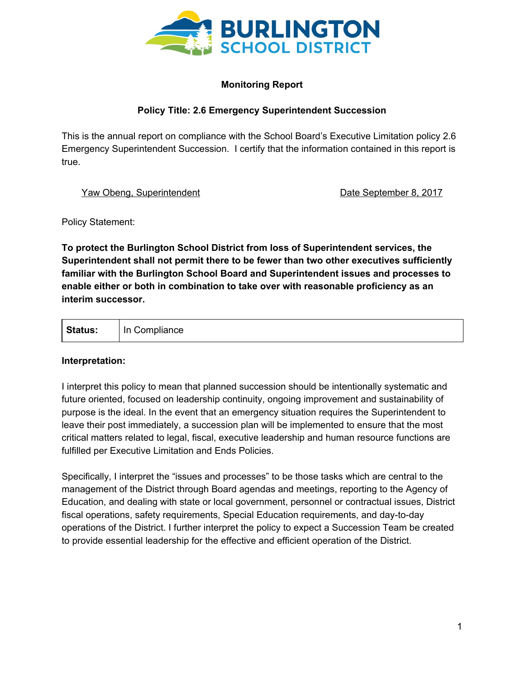

## **Monitoring Report**

## **Policy Title: 2.6 Emergency Superintendent Succession**

This is the annual report on compliance with the School Board's Executive Limitation policy 2.6 Emergency Superintendent Succession. I certify that the information contained in this report is true.

Yaw Obeng, Superintendent National Control of Date September 8, 2017

Policy Statement:

**To protect the Burlington School District from loss of Superintendent services, the Superintendent shall not permit there to be fewer than two other executives sufficiently familiar with the Burlington School Board and Superintendent issues and processes to enable either or both in combination to take over with reasonable proficiency as an interim successor.**

| <b>Status:</b> | In Compliance |
|----------------|---------------|
|----------------|---------------|

## **Interpretation:**

I interpret this policy to mean that planned succession should be intentionally systematic and future oriented, focused on leadership continuity, ongoing improvement and sustainability of purpose is the ideal. In the event that an emergency situation requires the Superintendent to leave their post immediately, a succession plan will be implemented to ensure that the most critical matters related to legal, fiscal, executive leadership and human resource functions are fulfilled per Executive Limitation and Ends Policies.

Specifically, I interpret the "issues and processes" to be those tasks which are central to the management of the District through Board agendas and meetings, reporting to the Agency of Education, and dealing with state or local government, personnel or contractual issues, District fiscal operations, safety requirements, Special Education requirements, and day-to-day operations of the District. I further interpret the policy to expect a Succession Team be created to provide essential leadership for the effective and efficient operation of the District.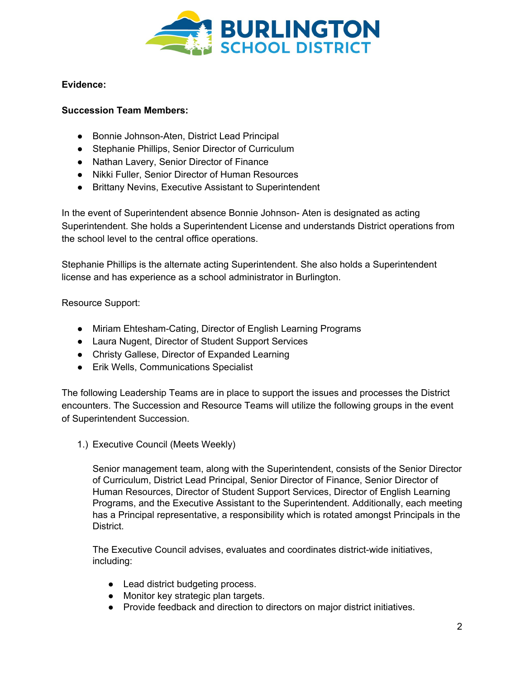

## **Evidence:**

## **Succession Team Members:**

- Bonnie Johnson-Aten, District Lead Principal
- Stephanie Phillips, Senior Director of Curriculum
- Nathan Lavery, Senior Director of Finance
- Nikki Fuller, Senior Director of Human Resources
- Brittany Nevins, Executive Assistant to Superintendent

In the event of Superintendent absence Bonnie Johnson- Aten is designated as acting Superintendent. She holds a Superintendent License and understands District operations from the school level to the central office operations.

Stephanie Phillips is the alternate acting Superintendent. She also holds a Superintendent license and has experience as a school administrator in Burlington.

Resource Support:

- Miriam Ehtesham-Cating, Director of English Learning Programs
- Laura Nugent, Director of Student Support Services
- Christy Gallese, Director of Expanded Learning
- Erik Wells, Communications Specialist

The following Leadership Teams are in place to support the issues and processes the District encounters. The Succession and Resource Teams will utilize the following groups in the event of Superintendent Succession.

1.) Executive Council (Meets Weekly)

Senior management team, along with the Superintendent, consists of the Senior Director of Curriculum, District Lead Principal, Senior Director of Finance, Senior Director of Human Resources, Director of Student Support Services, Director of English Learning Programs, and the Executive Assistant to the Superintendent. Additionally, each meeting has a Principal representative, a responsibility which is rotated amongst Principals in the District.

The Executive Council advises, evaluates and coordinates district-wide initiatives, including:

- Lead district budgeting process.
- Monitor key strategic plan targets.
- Provide feedback and direction to directors on major district initiatives.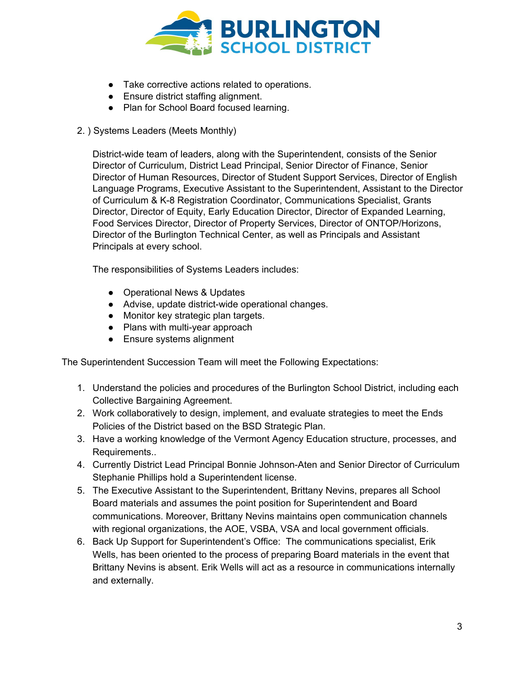

- Take corrective actions related to operations.
- Ensure district staffing alignment.
- Plan for School Board focused learning.
- 2. ) Systems Leaders (Meets Monthly)

District-wide team of leaders, along with the Superintendent, consists of the Senior Director of Curriculum, District Lead Principal, Senior Director of Finance, Senior Director of Human Resources, Director of Student Support Services, Director of English Language Programs, Executive Assistant to the Superintendent, Assistant to the Director of Curriculum & K-8 Registration Coordinator, Communications Specialist, Grants Director, Director of Equity, Early Education Director, Director of Expanded Learning, Food Services Director, Director of Property Services, Director of ONTOP/Horizons, Director of the Burlington Technical Center, as well as Principals and Assistant Principals at every school.

The responsibilities of Systems Leaders includes:

- Operational News & Updates
- Advise, update district-wide operational changes.
- Monitor key strategic plan targets.
- Plans with multi-year approach
- Ensure systems alignment

The Superintendent Succession Team will meet the Following Expectations:

- 1. Understand the policies and procedures of the Burlington School District, including each Collective Bargaining Agreement.
- 2. Work collaboratively to design, implement, and evaluate strategies to meet the Ends Policies of the District based on the BSD Strategic Plan.
- 3. Have a working knowledge of the Vermont Agency Education structure, processes, and Requirements..
- 4. Currently District Lead Principal Bonnie Johnson-Aten and Senior Director of Curriculum Stephanie Phillips hold a Superintendent license.
- 5. The Executive Assistant to the Superintendent, Brittany Nevins, prepares all School Board materials and assumes the point position for Superintendent and Board communications. Moreover, Brittany Nevins maintains open communication channels with regional organizations, the AOE, VSBA, VSA and local government officials.
- 6. Back Up Support for Superintendent's Office: The communications specialist, Erik Wells, has been oriented to the process of preparing Board materials in the event that Brittany Nevins is absent. Erik Wells will act as a resource in communications internally and externally.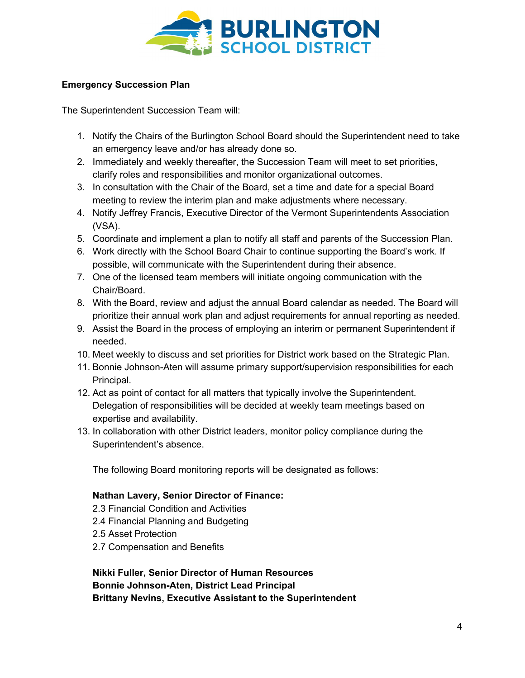

# **Emergency Succession Plan**

The Superintendent Succession Team will:

- 1. Notify the Chairs of the Burlington School Board should the Superintendent need to take an emergency leave and/or has already done so.
- 2. Immediately and weekly thereafter, the Succession Team will meet to set priorities, clarify roles and responsibilities and monitor organizational outcomes.
- 3. In consultation with the Chair of the Board, set a time and date for a special Board meeting to review the interim plan and make adjustments where necessary.
- 4. Notify Jeffrey Francis, Executive Director of the Vermont Superintendents Association (VSA).
- 5. Coordinate and implement a plan to notify all staff and parents of the Succession Plan.
- 6. Work directly with the School Board Chair to continue supporting the Board's work. If possible, will communicate with the Superintendent during their absence.
- 7. One of the licensed team members will initiate ongoing communication with the Chair/Board.
- 8. With the Board, review and adjust the annual Board calendar as needed. The Board will prioritize their annual work plan and adjust requirements for annual reporting as needed.
- 9. Assist the Board in the process of employing an interim or permanent Superintendent if needed.
- 10. Meet weekly to discuss and set priorities for District work based on the Strategic Plan.
- 11. Bonnie Johnson-Aten will assume primary support/supervision responsibilities for each Principal.
- 12. Act as point of contact for all matters that typically involve the Superintendent. Delegation of responsibilities will be decided at weekly team meetings based on expertise and availability.
- 13. In collaboration with other District leaders, monitor policy compliance during the Superintendent's absence.

The following Board monitoring reports will be designated as follows:

## **Nathan Lavery, Senior Director of Finance:**

- 2.3 Financial Condition and Activities
- 2.4 Financial Planning and Budgeting
- 2.5 Asset Protection
- 2.7 Compensation and Benefits

**Nikki Fuller, Senior Director of Human Resources Bonnie Johnson-Aten, District Lead Principal Brittany Nevins, Executive Assistant to the Superintendent**